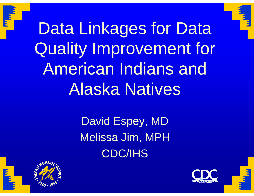

Data Linkages for Data Quality Improvement for American Indians and Alaska Natives

> David Espey, MD Melissa Jim, MPH CDC/IHS



<u>III <sub>III</sub></u>

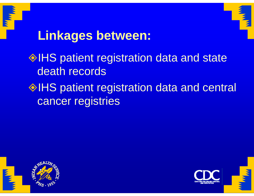



#### **Linkages between:**

#### $\lozenge$  IHS patient registration data and state death records

#### $\lozenge$  IHS patient registration data and central cancer registries



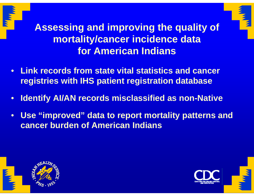



**Assessing and improving the quality of mortality/cancer incidence data for American Indians**

- **Link records from state vital statistics and cancer registries with IHS patient registration database**
- $\bullet$ **Identify AI/AN records misclassified as non-Native**
- $\bullet$  **Use "improved" data to report mortality patterns and cancer burden of American Indians**





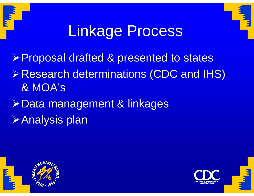



### Linkage Process

Proposal drafted & presented to states

- Research determinations (CDC and IHS) & MOA's
- Data management & linkages Analysis plan



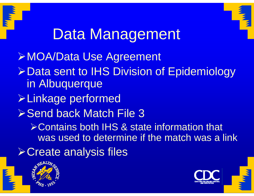



# Data Management

¾MOA/Data Use Agreement ¾Data sent to IHS Division of Epidemiology in Albuquerque ¾Linkage performed **≻Send back Match File 3** ¾Contains both IHS & state information that was used to determine if the match was a link ¾Create analysis files



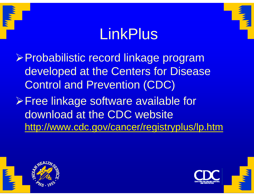### LinkPlus

¾Probabilistic record linkage program developed at the Centers for Disease Control and Prevention (CDC)

¾Free linkage software available for download at the CDC website http://www.cdc.gov/cancer/registryplus/lp.htm



 $\mathbf{w}_{\mathbf{w}}$ 

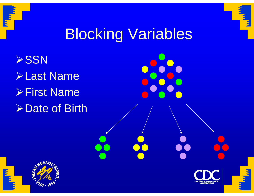



### Blocking Variables

 $\triangleright$ SSN ¾Last Name ¾First Name **Example of Birth** 



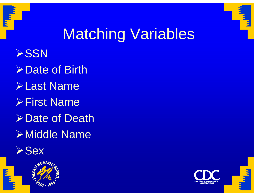



# Matching Variables

**≻SSN ≻Date of Birth** ¾Last Name ¾First Name**≻Date of Death** ¾Middle Name





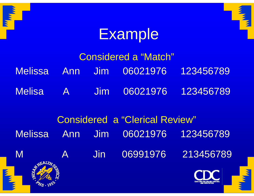



#### Example

|          |  | Considered a "Match"               |  |
|----------|--|------------------------------------|--|
|          |  | Melissa Ann Jim 06021976 123456789 |  |
| Melisa A |  | Jim 06021976 123456789             |  |

### Considered a "Clerical Review" Melissa Ann Jim 06021976 123456789M A Jin 06991976 213456789 Ę

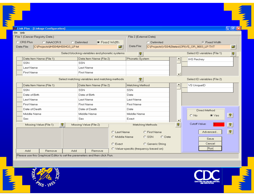| File 2 (External Data)<br>C Delimited<br>C Fixed Width<br>Data File:<br>$\mathbf{r}$<br>C:\Projects\VS04\States\OR\VS_OR_9003_LP.TXT<br>Select ID variables (File 1)<br>P.<br>$\sqrt{3}$<br>Phonetic System<br><b>IHS Reckey</b> |
|----------------------------------------------------------------------------------------------------------------------------------------------------------------------------------------------------------------------------------|
|                                                                                                                                                                                                                                  |
|                                                                                                                                                                                                                                  |
|                                                                                                                                                                                                                                  |
|                                                                                                                                                                                                                                  |
|                                                                                                                                                                                                                                  |
|                                                                                                                                                                                                                                  |
|                                                                                                                                                                                                                                  |
|                                                                                                                                                                                                                                  |
| $\overline{\phantom{0}}$                                                                                                                                                                                                         |
| $^\circledR$<br>Select ID variables (File 2)                                                                                                                                                                                     |
| Matching Method<br>VS UniqueID                                                                                                                                                                                                   |
|                                                                                                                                                                                                                                  |
|                                                                                                                                                                                                                                  |
| Last Name                                                                                                                                                                                                                        |
| First Name                                                                                                                                                                                                                       |
| Direct Method                                                                                                                                                                                                                    |
| Middle Name<br>$\sqrt{2}$<br>$\odot$ Yes<br>$O$ No                                                                                                                                                                               |
| $\blacktriangledown$                                                                                                                                                                                                             |
| Cutoff Value:<br>ୃକ<br>Matching Methods<br>f                                                                                                                                                                                     |
|                                                                                                                                                                                                                                  |
| $\sqrt{2}$<br>Advanced<br>O First Name                                                                                                                                                                                           |
|                                                                                                                                                                                                                                  |





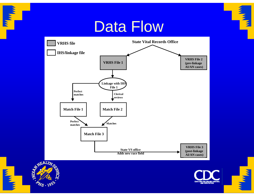

#### Data Flow





**Tarbon** 





**THE REAL**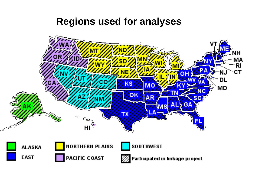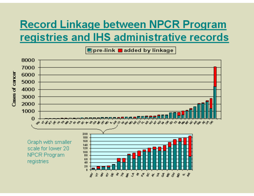#### **Record Linkage between NPCR Program** registries and IHS administrative records

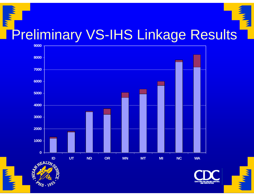# **WWW. Preliminary VS-IHS Linkage Results**